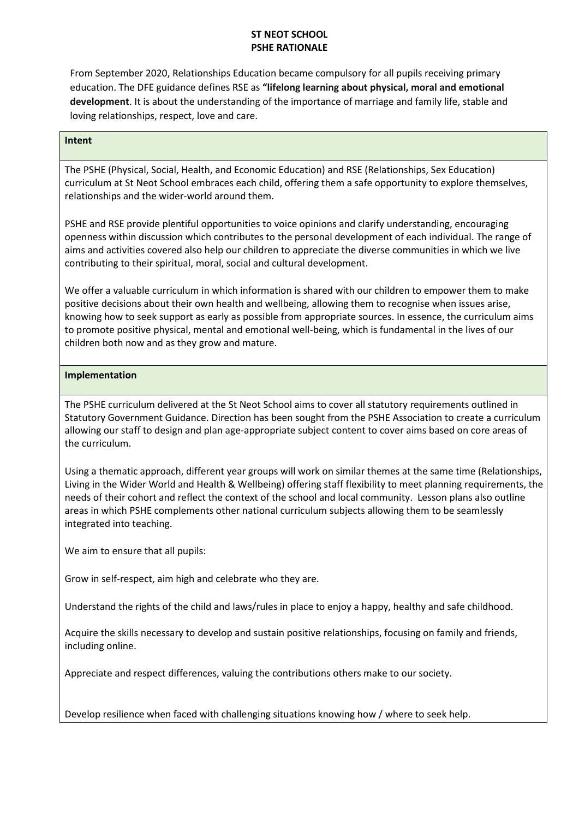## **ST NEOT SCHOOL PSHE RATIONALE**

From September 2020, Relationships Education became compulsory for all pupils receiving primary education. The DFE guidance defines RSE as **"lifelong learning about physical, moral and emotional development**. It is about the understanding of the importance of marriage and family life, stable and loving relationships, respect, love and care.

## **Intent**

The PSHE (Physical, Social, Health, and Economic Education) and RSE (Relationships, Sex Education) curriculum at St Neot School embraces each child, offering them a safe opportunity to explore themselves, relationships and the wider-world around them.

PSHE and RSE provide plentiful opportunities to voice opinions and clarify understanding, encouraging openness within discussion which contributes to the personal development of each individual. The range of aims and activities covered also help our children to appreciate the diverse communities in which we live contributing to their spiritual, moral, social and cultural development.

We offer a valuable curriculum in which information is shared with our children to empower them to make positive decisions about their own health and wellbeing, allowing them to recognise when issues arise, knowing how to seek support as early as possible from appropriate sources. In essence, the curriculum aims to promote positive physical, mental and emotional well-being, which is fundamental in the lives of our children both now and as they grow and mature.

## **Implementation**

The PSHE curriculum delivered at the St Neot School aims to cover all statutory requirements outlined in Statutory Government Guidance. Direction has been sought from the PSHE Association to create a curriculum allowing our staff to design and plan age-appropriate subject content to cover aims based on core areas of the curriculum.

Using a thematic approach, different year groups will work on similar themes at the same time (Relationships, Living in the Wider World and Health & Wellbeing) offering staff flexibility to meet planning requirements, the needs of their cohort and reflect the context of the school and local community. Lesson plans also outline areas in which PSHE complements other national curriculum subjects allowing them to be seamlessly integrated into teaching.

We aim to ensure that all pupils:

Grow in self-respect, aim high and celebrate who they are.

Understand the rights of the child and laws/rules in place to enjoy a happy, healthy and safe childhood.

Acquire the skills necessary to develop and sustain positive relationships, focusing on family and friends, including online.

Appreciate and respect differences, valuing the contributions others make to our society.

Develop resilience when faced with challenging situations knowing how / where to seek help.